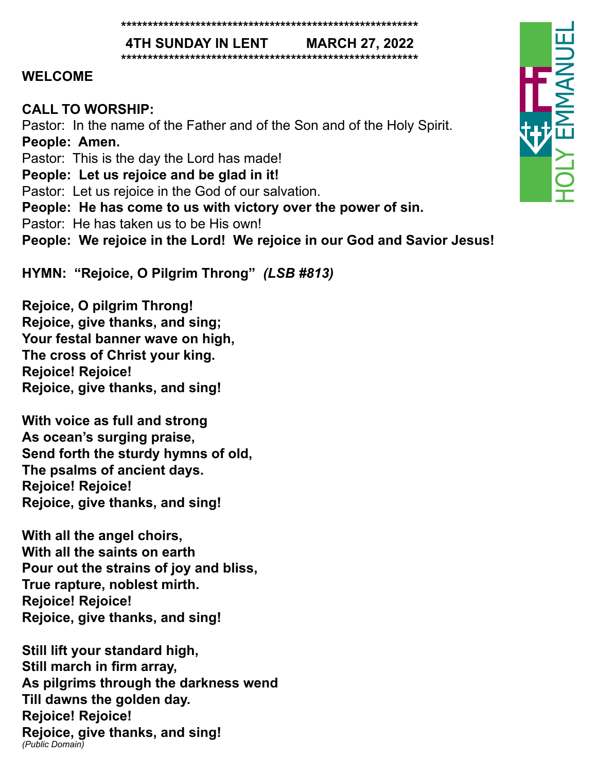#### **\*\*\*\*\*\*\*\*\*\*\*\*\*\*\*\*\*\*\*\*\*\*\*\*\*\*\*\*\*\*\*\*\*\*\*\*\*\*\*\*\*\*\*\*\*\*\*\*\*\*\*\*\*\*\*\***

**4TH SUNDAY IN LENT MARCH 27, 2022 \*\*\*\*\*\*\*\*\*\*\*\*\*\*\*\*\*\*\*\*\*\*\*\*\*\*\*\*\*\*\*\*\*\*\*\*\*\*\*\*\*\*\*\*\*\*\*\*\*\*\*\*\*\*\*\***

#### **WELCOME**

#### **CALL TO WORSHIP:**

Pastor: In the name of the Father and of the Son and of the Holy Spirit. **People: Amen.**

Pastor: This is the day the Lord has made!

**People: Let us rejoice and be glad in it!**

Pastor: Let us rejoice in the God of our salvation.

**People: He has come to us with victory over the power of sin.**

Pastor: He has taken us to be His own!

**People: We rejoice in the Lord! We rejoice in our God and Savior Jesus!**

**HYMN: "Rejoice, O Pilgrim Throng"** *(LSB #813)*

**Rejoice, O pilgrim Throng! Rejoice, give thanks, and sing; Your festal banner wave on high, The cross of Christ your king. Rejoice! Rejoice! Rejoice, give thanks, and sing!**

**With voice as full and strong As ocean's surging praise, Send forth the sturdy hymns of old, The psalms of ancient days. Rejoice! Rejoice! Rejoice, give thanks, and sing!**

**With all the angel choirs, With all the saints on earth Pour out the strains of joy and bliss, True rapture, noblest mirth. Rejoice! Rejoice! Rejoice, give thanks, and sing!**

**Still lift your standard high, Still march in firm array, As pilgrims through the darkness wend Till dawns the golden day. Rejoice! Rejoice! Rejoice, give thanks, and sing!** *(Public Domain)*

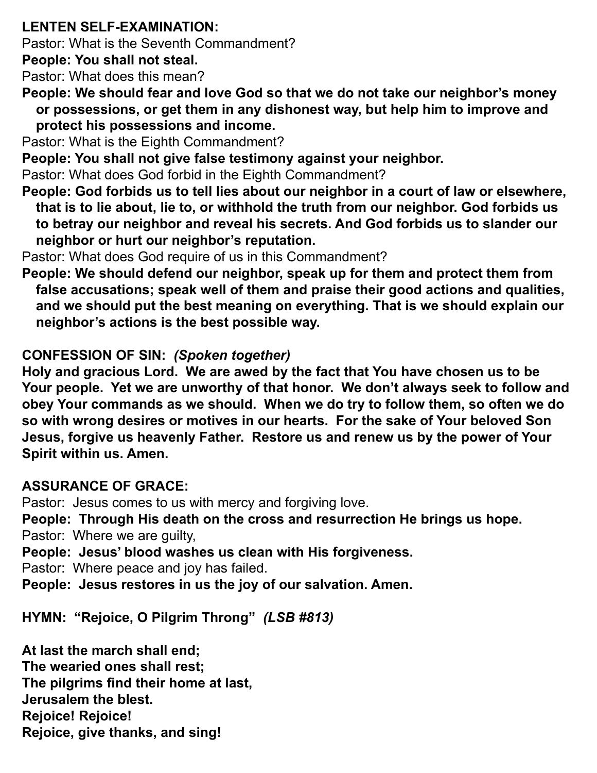## **LENTEN SELF-EXAMINATION:**

Pastor: What is the Seventh Commandment?

**People: You shall not steal.**

Pastor: What does this mean?

**People: We should fear and love God so that we do not take our neighbor's money or possessions, or get them in any dishonest way, but help him to improve and protect his possessions and income.** 

Pastor: What is the Eighth Commandment?

**People: You shall not give false testimony against your neighbor.** 

Pastor: What does God forbid in the Eighth Commandment?

**People: God forbids us to tell lies about our neighbor in a court of law or elsewhere, that is to lie about, lie to, or withhold the truth from our neighbor. God forbids us to betray our neighbor and reveal his secrets. And God forbids us to slander our neighbor or hurt our neighbor's reputation.** 

Pastor: What does God require of us in this Commandment?

**People: We should defend our neighbor, speak up for them and protect them from false accusations; speak well of them and praise their good actions and qualities, and we should put the best meaning on everything. That is we should explain our neighbor's actions is the best possible way.** 

## **CONFESSION OF SIN:** *(Spoken together)*

**Holy and gracious Lord. We are awed by the fact that You have chosen us to be Your people. Yet we are unworthy of that honor. We don't always seek to follow and obey Your commands as we should. When we do try to follow them, so often we do so with wrong desires or motives in our hearts. For the sake of Your beloved Son Jesus, forgive us heavenly Father. Restore us and renew us by the power of Your Spirit within us. Amen.** 

## **ASSURANCE OF GRACE:**

Pastor: Jesus comes to us with mercy and forgiving love. **People: Through His death on the cross and resurrection He brings us hope.** Pastor: Where we are guilty, **People: Jesus' blood washes us clean with His forgiveness.** Pastor: Where peace and joy has failed. **People: Jesus restores in us the joy of our salvation. Amen.** 

**HYMN: "Rejoice, O Pilgrim Throng"** *(LSB #813)*

**At last the march shall end; The wearied ones shall rest; The pilgrims find their home at last, Jerusalem the blest. Rejoice! Rejoice! Rejoice, give thanks, and sing!**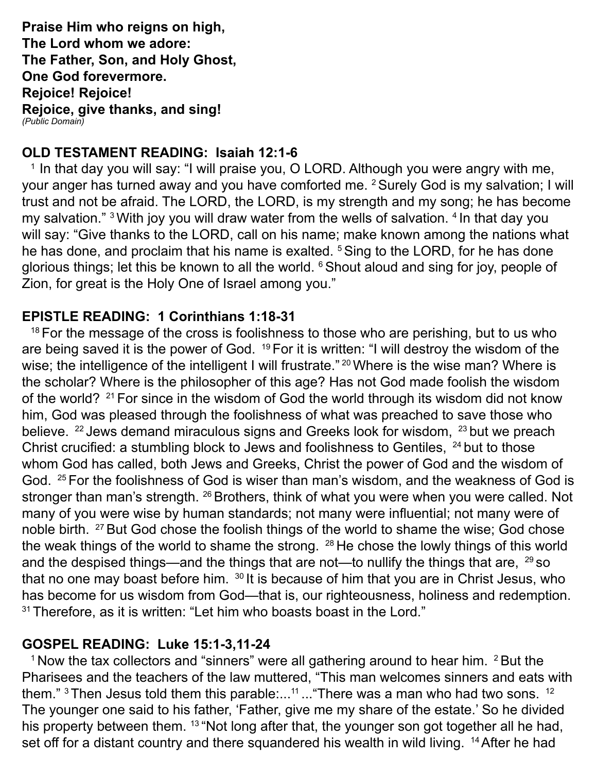**Praise Him who reigns on high, The Lord whom we adore: The Father, Son, and Holy Ghost, One God forevermore. Rejoice! Rejoice! Rejoice, give thanks, and sing!** *(Public Domain)*

#### **OLD TESTAMENT READING: Isaiah 12:1-6**

<sup>1</sup> In that day you will say: "I will praise you, O LORD. Although you were angry with me, your anger has turned away and you have comforted me. <sup>2</sup> Surely God is my salvation; I will trust and not be afraid. The LORD, the LORD, is my strength and my song; he has become my salvation." <sup>3</sup> With joy you will draw water from the wells of salvation. <sup>4</sup> In that day you will say: "Give thanks to the LORD, call on his name; make known among the nations what he has done, and proclaim that his name is exalted. <sup>5</sup> Sing to the LORD, for he has done glorious things; let this be known to all the world. <sup>6</sup> Shout aloud and sing for joy, people of Zion, for great is the Holy One of Israel among you."

#### **EPISTLE READING: 1 Corinthians 1:18-31**

<sup>18</sup> For the message of the cross is foolishness to those who are perishing, but to us who are being saved it is the power of God. <sup>19</sup> For it is written: "I will destroy the wisdom of the wise; the intelligence of the intelligent I will frustrate." <sup>20</sup> Where is the wise man? Where is the scholar? Where is the philosopher of this age? Has not God made foolish the wisdom of the world? <sup>21</sup> For since in the wisdom of God the world through its wisdom did not know him, God was pleased through the foolishness of what was preached to save those who believe. <sup>22</sup> Jews demand miraculous signs and Greeks look for wisdom, <sup>23</sup> but we preach Christ crucified: a stumbling block to Jews and foolishness to Gentiles, <sup>24</sup> but to those whom God has called, both Jews and Greeks, Christ the power of God and the wisdom of God. 25 For the foolishness of God is wiser than man's wisdom, and the weakness of God is stronger than man's strength. <sup>26</sup> Brothers, think of what you were when you were called. Not many of you were wise by human standards; not many were influential; not many were of noble birth. <sup>27</sup> But God chose the foolish things of the world to shame the wise; God chose the weak things of the world to shame the strong.  $28$  He chose the lowly things of this world and the despised things—and the things that are not—to nullify the things that are,  $^{29}$  so that no one may boast before him. <sup>30</sup> It is because of him that you are in Christ Jesus, who has become for us wisdom from God—that is, our righteousness, holiness and redemption.  $31$  Therefore, as it is written: "Let him who boasts boast in the Lord."

#### **GOSPEL READING: Luke 15:1-3,11-24**

 $1$  Now the tax collectors and "sinners" were all gathering around to hear him.  $2$  But the Pharisees and the teachers of the law muttered, "This man welcomes sinners and eats with them." <sup>3</sup> Then Jesus told them this parable:...<sup>11</sup> ... "There was a man who had two sons. <sup>12</sup> The younger one said to his father, 'Father, give me my share of the estate.' So he divided his property between them. <sup>13</sup> "Not long after that, the younger son got together all he had, set off for a distant country and there squandered his wealth in wild living. <sup>14</sup> After he had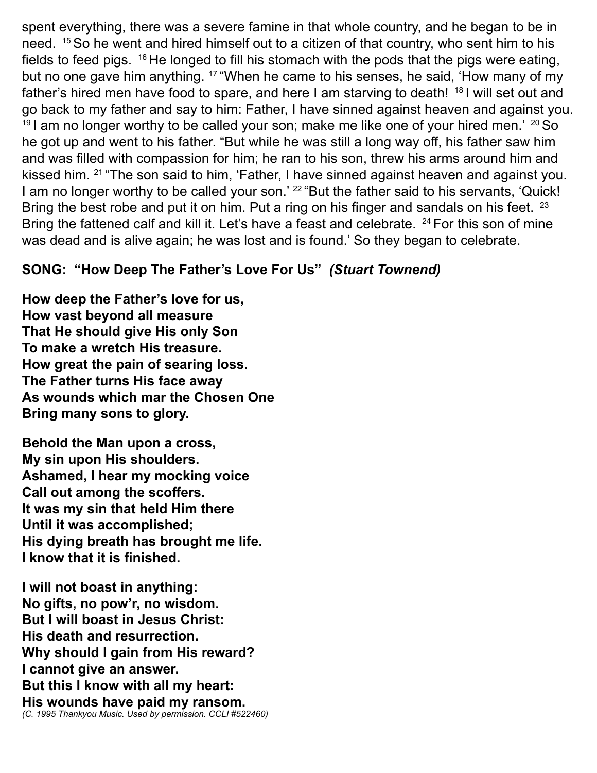spent everything, there was a severe famine in that whole country, and he began to be in need. 15 So he went and hired himself out to a citizen of that country, who sent him to his fields to feed pigs.  $16$  He longed to fill his stomach with the pods that the pigs were eating, but no one gave him anything. <sup>17</sup> "When he came to his senses, he said, 'How many of my father's hired men have food to spare, and here I am starving to death! <sup>18</sup> I will set out and go back to my father and say to him: Father, I have sinned against heaven and against you.  $19$  I am no longer worthy to be called your son; make me like one of your hired men.'  $20$  So he got up and went to his father. "But while he was still a long way off, his father saw him and was filled with compassion for him; he ran to his son, threw his arms around him and kissed him. 21 "The son said to him, 'Father, I have sinned against heaven and against you. I am no longer worthy to be called your son.' <sup>22</sup> "But the father said to his servants, 'Quick! Bring the best robe and put it on him. Put a ring on his finger and sandals on his feet. <sup>23</sup> Bring the fattened calf and kill it. Let's have a feast and celebrate. <sup>24</sup> For this son of mine was dead and is alive again; he was lost and is found.' So they began to celebrate.

### **SONG: "How Deep The Father's Love For Us"** *(Stuart Townend)*

**How deep the Father's love for us, How vast beyond all measure That He should give His only Son To make a wretch His treasure. How great the pain of searing loss. The Father turns His face away As wounds which mar the Chosen One Bring many sons to glory.**

**Behold the Man upon a cross, My sin upon His shoulders. Ashamed, I hear my mocking voice Call out among the scoffers. It was my sin that held Him there Until it was accomplished; His dying breath has brought me life. I know that it is finished.**

**I will not boast in anything: No gifts, no pow'r, no wisdom. But I will boast in Jesus Christ: His death and resurrection. Why should I gain from His reward? I cannot give an answer. But this I know with all my heart: His wounds have paid my ransom.** *(C. 1995 Thankyou Music. Used by permission. CCLI #522460)*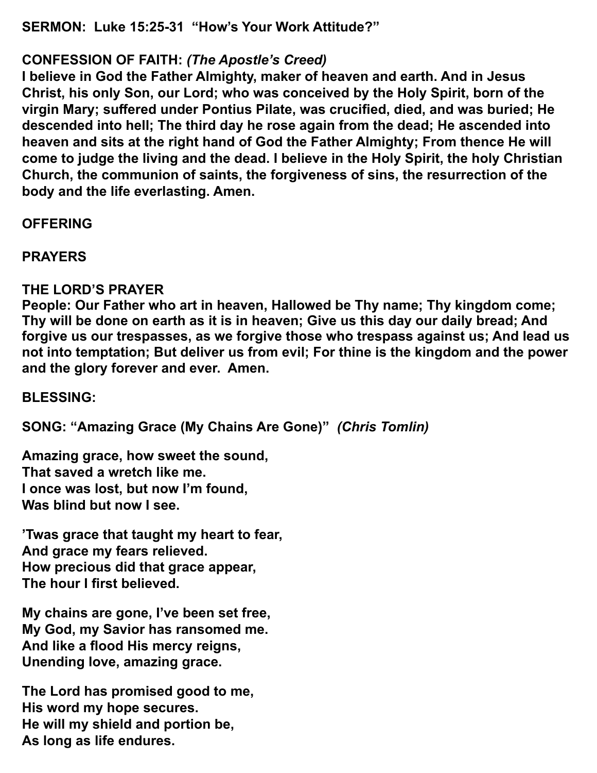**SERMON: Luke 15:25-31 "How's Your Work Attitude?"**

### **CONFESSION OF FAITH:** *(The Apostle's Creed)*

**I believe in God the Father Almighty, maker of heaven and earth. And in Jesus Christ, his only Son, our Lord; who was conceived by the Holy Spirit, born of the virgin Mary; suffered under Pontius Pilate, was crucified, died, and was buried; He descended into hell; The third day he rose again from the dead; He ascended into heaven and sits at the right hand of God the Father Almighty; From thence He will come to judge the living and the dead. I believe in the Holy Spirit, the holy Christian Church, the communion of saints, the forgiveness of sins, the resurrection of the body and the life everlasting. Amen.** 

**OFFERING**

**PRAYERS**

#### **THE LORD'S PRAYER**

**People: Our Father who art in heaven, Hallowed be Thy name; Thy kingdom come; Thy will be done on earth as it is in heaven; Give us this day our daily bread; And forgive us our trespasses, as we forgive those who trespass against us; And lead us not into temptation; But deliver us from evil; For thine is the kingdom and the power and the glory forever and ever. Amen.** 

**BLESSING:**

**SONG: "Amazing Grace (My Chains Are Gone)"** *(Chris Tomlin)*

**Amazing grace, how sweet the sound, That saved a wretch like me. I once was lost, but now I'm found, Was blind but now I see.**

**'Twas grace that taught my heart to fear, And grace my fears relieved. How precious did that grace appear, The hour I first believed.**

**My chains are gone, I've been set free, My God, my Savior has ransomed me. And like a flood His mercy reigns, Unending love, amazing grace.**

**The Lord has promised good to me, His word my hope secures. He will my shield and portion be, As long as life endures.**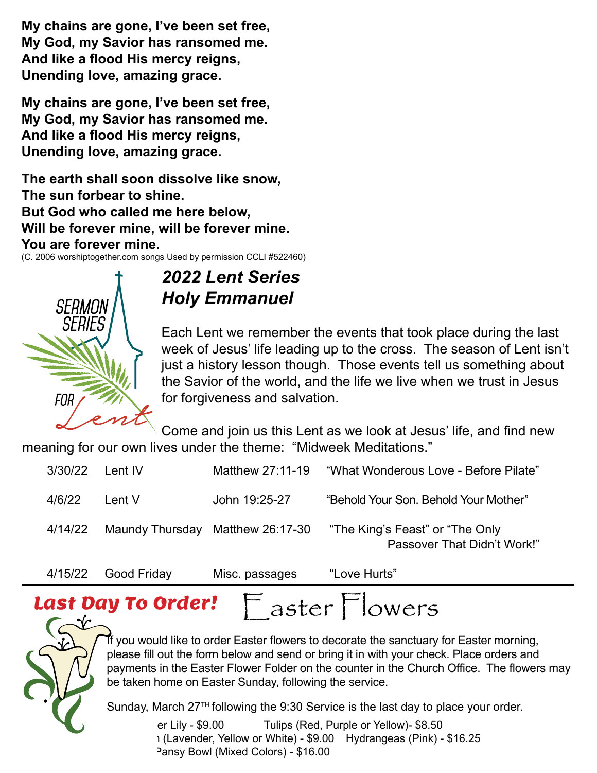**My chains are gone, I've been set free, My God, my Savior has ransomed me. And like a flood His mercy reigns,**  And like a hood His mercy reigns,<br>Unending love, amazing grace.

My chains are gone, I've been set free, **My God, my Savior has ransomed me. And like a flood His mercy reigns, Unending love, amazing grace.** *2022 Lent Series*<br>diagram Series<br>*Farazing grace*. *Holy Emmanuel* the form below and send or bring it is in with your bring in with your bring it is in with your bring in with  $\frac{1}{2}$ va riis mercy reigns,

The earth shall soon dissolve like snow, The sun forbear to shine. **The sunday But God who called me here below, we are season of Lent is also up to the season of Lent is also up to the season of Len Fact of a historial model with a history lesson, will be forever mine.**<br>Will be forever mine, will be forever mine. You are forever mine.  $\mathbf{e}$ .  $\frac{1}{2}$  the same trust in  $\frac{1}{2}$  we have when we trust in  $\frac{1}{2}$ 

TOU AL<del>C</del> TOL<del>C</del> VCL TITITIC.<br>(C. 2006 worshiptogether.com songs Used by permission CCLI #522460)



#### **2022 Lent Series** and in this Lent as we look at  $\alpha$ **REDMON AUGHT CONVIDEMMANUEL**  $\frac{1}{2}$   $\frac{1}{2}$   $\frac{1}{2}$   $\frac{1}{2}$   $\frac{1}{2}$   $\frac{1}{2}$   $\frac{1}{2}$   $\frac{1}{2}$   $\frac{1}{2}$   $\frac{1}{2}$   $\frac{1}{2}$   $\frac{1}{2}$   $\frac{1}{2}$   $\frac{1}{2}$   $\frac{1}{2}$   $\frac{1}{2}$   $\frac{1}{2}$   $\frac{1}{2}$   $\frac{1}{2}$   $\frac{1}{2}$   $\frac{1}{2}$   $\frac{1}{2}$

Each Lent we remember the events that took place during the last week of Jesus' life leading up to the cross. The season of Lent isn't **WIMM (White)** iust a history lesson though. Those events tell us something about  $\mathcal{I}$  the Savior of the world, and the life we live when we trust in Jesus FOR  $\sim$   $\sim$  for forgiveness and salvation.  $\textit{SEHIES}$   $\parallel$  $\mathbb{R}$ 

Come and join us this Lent as we look at Jesus' life, and find new  $\sim$  meaning for our own lives under the theme: "Midweek Meditations."  $\sim$   $\sim$   $\sim$ Name \_\_\_\_\_\_\_\_\_\_\_\_\_\_\_\_\_\_\_\_\_\_\_\_\_\_\_\_\_\_\_\_\_\_\_\_\_\_\_\_\_\_

| 3/30/22 | Lent IV                          | Matthew 27:11-19 | "What Wonderous Love - Before Pilate"                           |
|---------|----------------------------------|------------------|-----------------------------------------------------------------|
| 4/6/22  | Lent V                           | John 19:25-27    | "Behold Your Son. Behold Your Mother"                           |
| 4/14/22 | Maundy Thursday Matthew 26:17-30 |                  | "The King's Feast" or "The Only"<br>Passover That Didn't Work!" |
|         |                                  |                  |                                                                 |

```
4/15/22 Good Friday Misc. passages "Love Hurts"
```
#### $32.3$  Deuts Cudevil  $F$ ,  $F$ **Last Day To Order!**  $\Box$  aster Flowers Last Day To Order!



The would like to order Easter flowers to decorate the sanctuary for Easter morning, the same in the Easter Filmer Practice in the search in the Sharen Sines. The however the same of the same of  $\frac{1}{2}$ If you was the form solen and other traing in mining on one that have ordered and the country of the flowers mou be taken home on Easter Sunday, following the service. payments in the Easter Flower Folder on the counter in the Church Office. The flowers may<br>he teken hame an Easter Sunday, following the consise please fill out the form below and send or bring it in with your check. Place orders and

 $\bullet$  Sunday, March 27<sup>TH</sup> following the 9:30 Service is the last day to place your order. Finally, material concerning are cree common Sunday, March 27™ following the 9:30 Service is the last day to place your order.

er Lily - \$9.00 Tulips (Red, Purple or Yellow)- \$8.50 Pansy Bowl (Mixed Colors) - \$16.00  $T$  er Lily - \$9.00  $T$  i ulips (Red, Fig. s) ı (Lavender, Yellow or White) - \$9.00 Hydrangeas (Pink) - \$16.25  $\mathcal{S}$  The 9:30 Service is the 9:30 Service is the last day to place is the last day to place is the last day to place is the last day to place is the last day to place is the last day to place is the last day to place The flowers may be taken home on Easter Sunday,  $\sigma$  is the service.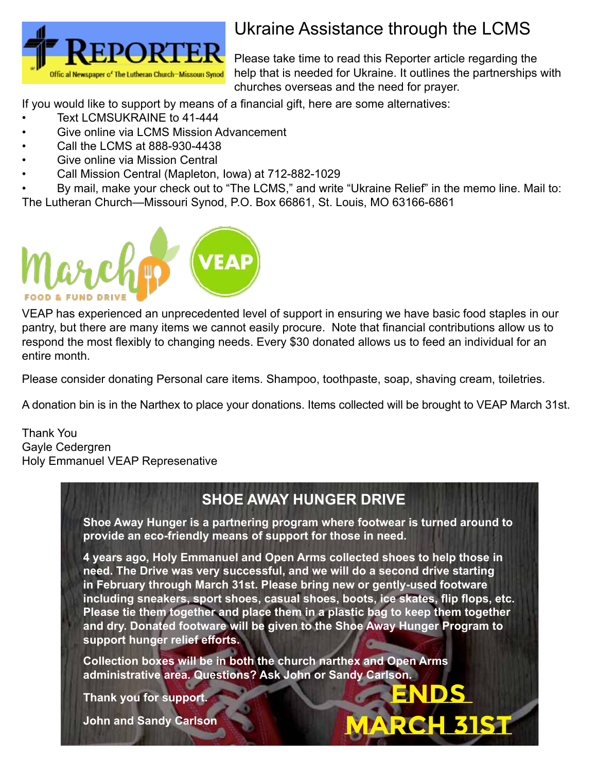

# Ukraine Assistance through the LCMS

Please take time to read this Reporter article regarding the help that is needed for Ukraine. It outlines the partnerships with churches overseas and the need for prayer.

If you would like to support by means of a financial gift, here are some alternatives:

- Text LCMSUKRAINE to 41-444
- Give online via LCMS Mission Advancement
- Call the LCMS at 888-930-4438
- Give online via Mission Central
- Call Mission Central (Mapleton, Iowa) at 712-882-1029

• By mail, make your check out to "The LCMS," and write "Ukraine Relief" in the memo line. Mail to: The Lutheran Church—Missouri Synod, P.O. Box 66861, St. Louis, MO 63166-6861



VEAP has experienced an unprecedented level of support in ensuring we have basic food staples in our pantry, but there are many items we cannot easily procure. Note that financial contributions allow us to respond the most flexibly to changing needs. Every \$30 donated allows us to feed an individual for an entire month.

Please consider donating Personal care items. Shampoo, toothpaste, soap, shaving cream, toiletries.

A donation bin is in the Narthex to place your donations. Items collected will be brought to VEAP March 31st.

Thank You Gayle Cedergren Holy Emmanuel VEAP Represenative

## **SHOE AWAY HUNGER DRIVE**

**Shoe Away Hunger is a partnering program where footwear is turned around to provide an eco-friendly means of support for those in need.**

**4 years ago, Holy Emmanuel and Open Arms collected shoes to help those in need. The Drive was very successful, and we will do a second drive starting in February through March 31st. Please bring new or gently-used footware including sneakers, sport shoes, casual shoes, boots, ice skates, flip flops, etc. Please tie them together and place them in a plastic bag to keep them together and dry. Donated footware will be given to the Shoe Away Hunger Program to support hunger relief efforts.**

**ENDS** 

**MARCH 31st**

**Collection boxes will be in both the church narthex and Open Arms administrative area. Questions? Ask John or Sandy Carlson.**

**Thank you for support.**

**John and Sandy Carlson**